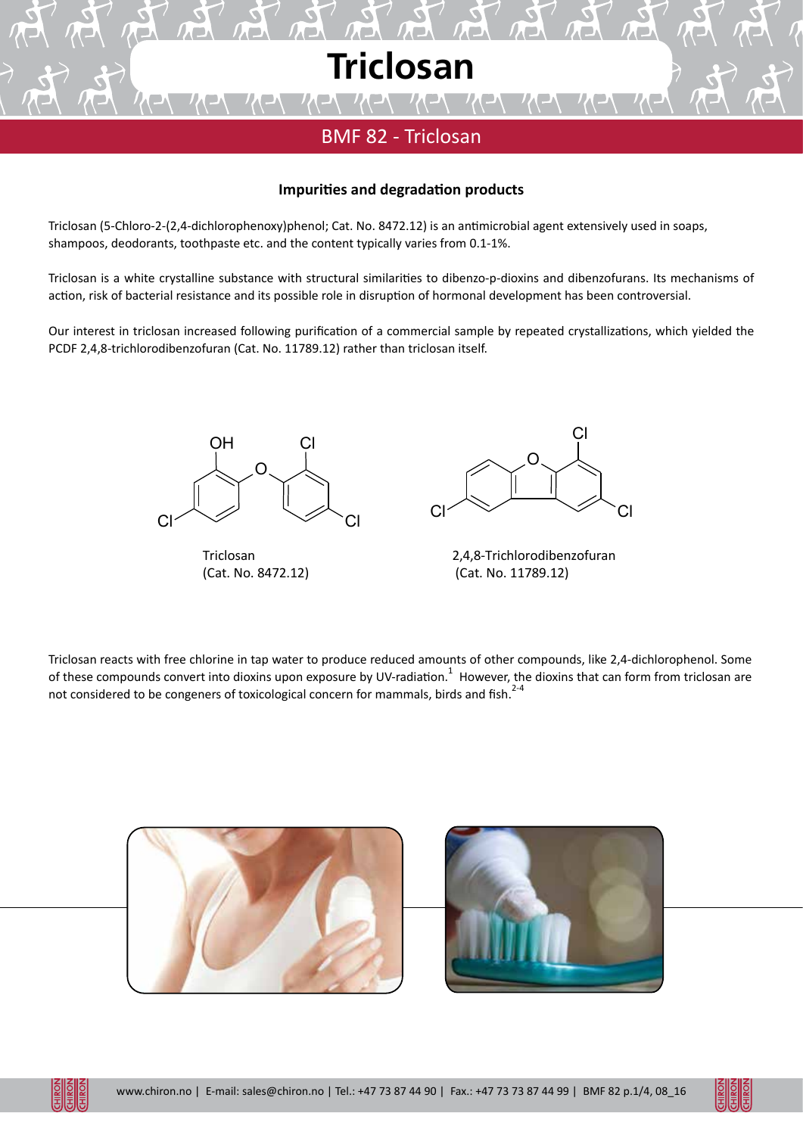

# BMF 82 - Triclosan

#### **Impurities and degradation products**

Triclosan (5-Chloro-2-(2,4-dichlorophenoxy)phenol; Cat. No. 8472.12) is an antimicrobial agent extensively used in soaps, shampoos, deodorants, toothpaste etc. and the content typically varies from 0.1-1%.

Triclosan is a white crystalline substance with structural similarities to dibenzo-p-dioxins and dibenzofurans. Its mechanisms of action, risk of bacterial resistance and its possible role in disruption of hormonal development has been controversial.

Our interest in triclosan increased following purification of a commercial sample by repeated crystallizations, which yielded the PCDF 2,4,8-trichlorodibenzofuran (Cat. No. 11789.12) rather than triclosan itself.



Triclosan (Cat. No. 8472.12)



2,4,8-Trichlorodibenzofuran (Cat. No. 11789.12)

Triclosan reacts with free chlorine in tap water to produce reduced amounts of other compounds, like 2,4-dichlorophenol. Some of these compounds convert into dioxins upon exposure by UV-radiation. <sup>1</sup> However, the dioxins that can form from triclosan are not considered to be congeners of toxicological concern for mammals, birds and fish. $2-4$ 



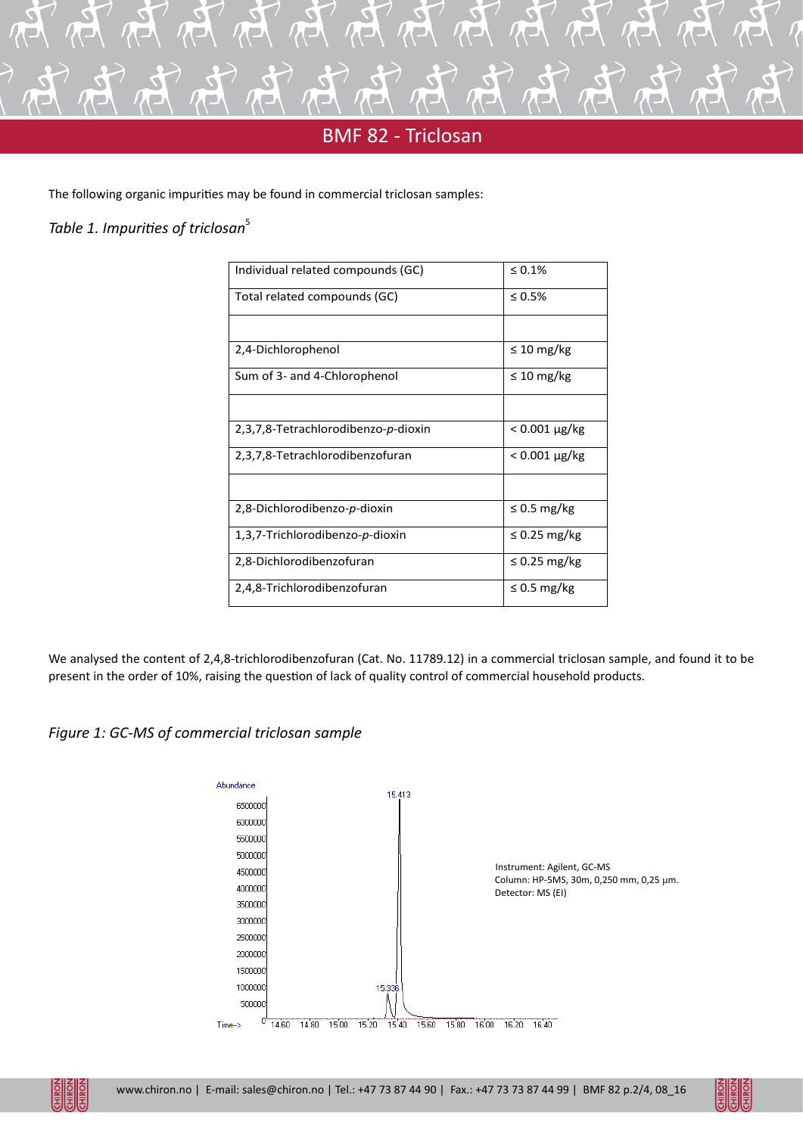

## **BMF 82 - Triclosan**

The following organic impurities may be found in commercial triclosan samples:

### *Table 1. Impurities of triclosan*<sup>5</sup>

| Individual related compounds (GC)   | $\leq 0.1\%$            |  |  |
|-------------------------------------|-------------------------|--|--|
| Total related compounds (GC)        | $\leq 0.5\%$            |  |  |
|                                     |                         |  |  |
| 2,4-Dichlorophenol                  | $\leq 10 \text{ mg/kg}$ |  |  |
| Sum of 3- and 4-Chlorophenol        | $\leq 10 \text{ mg/kg}$ |  |  |
|                                     |                         |  |  |
| 2,3,7,8-Tetrachlorodibenzo-p-dioxin | $< 0.001 \mu g/kg$      |  |  |
| 2,3,7,8-Tetrachlorodibenzofuran     | $< 0.001 \mu g/kg$      |  |  |
|                                     |                         |  |  |
| 2,8-Dichlorodibenzo-p-dioxin        | $\leq$ 0.5 mg/kg        |  |  |
| 1,3,7-Trichlorodibenzo-p-dioxin     | $\leq$ 0.25 mg/kg       |  |  |
| 2,8-Dichlorodibenzofuran            | $\leq$ 0.25 mg/kg       |  |  |
| 2,4,8-Trichlorodibenzofuran         | $\leq$ 0.5 mg/kg        |  |  |

We analysed the content of 2,4,8-trichlorodibenzofuran (Cat. No. 11789.12) in a commercial triclosan sample, and found it to be present in the order of 10%, raising the question of lack of quality control of commercial household products.





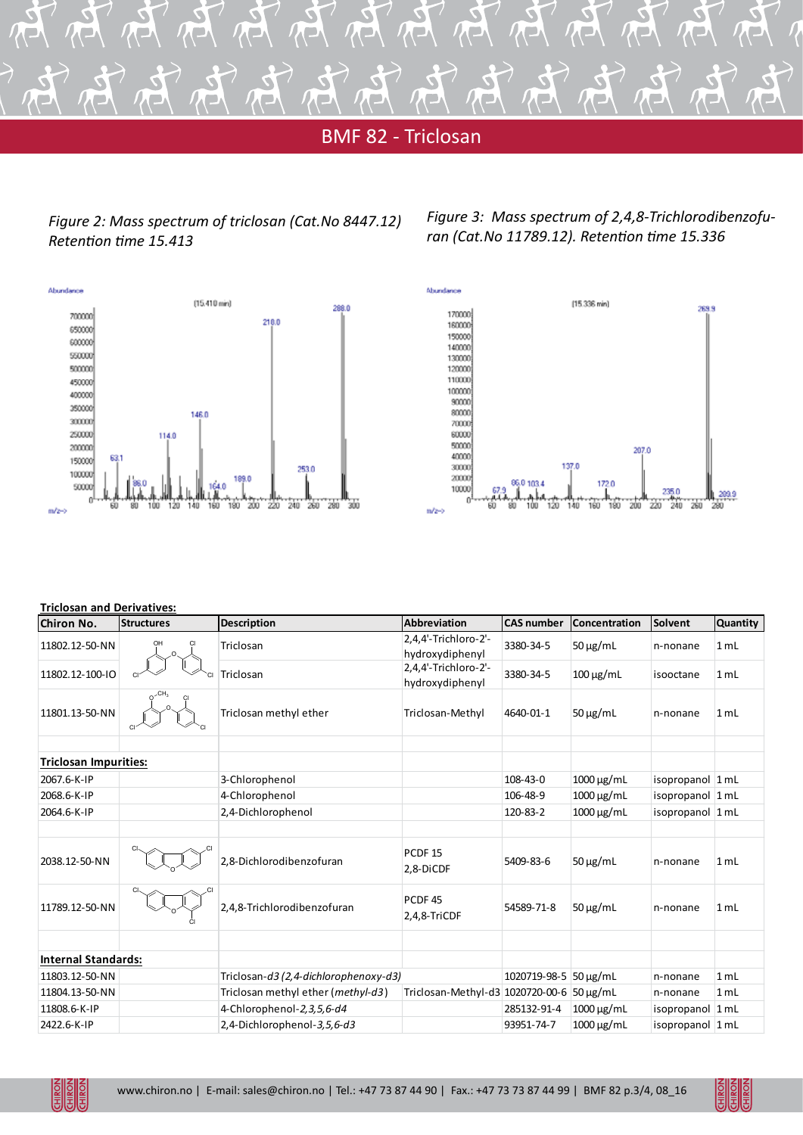

### **BMF 82 - Triclosan**

*Figure 2: Mass spectrum of triclosan (Cat.No 8447.12) Retention time 15.413*







#### **Triclosan and Derivatives:**

| <b>Chiron No.</b>            | <b>Structures</b> | <b>Description</b>                    | <b>Abbreviation</b>                       | <b>CAS number</b>     | Concentration                | Solvent          | <b>Quantity</b> |
|------------------------------|-------------------|---------------------------------------|-------------------------------------------|-----------------------|------------------------------|------------------|-----------------|
| 11802.12-50-NN               |                   | Triclosan                             | 2,4,4'-Trichloro-2'-<br>hydroxydiphenyl   | 3380-34-5             | $50 \mu g/mL$                | n-nonane         | 1 mL            |
| 11802.12-100-IO              |                   | Triclosan                             | 2,4,4'-Trichloro-2'-<br>hydroxydiphenyl   | 3380-34-5             | $100 \mu g/mL$               | isooctane        | 1 mL            |
| 11801.13-50-NN               |                   | Triclosan methyl ether                | Triclosan-Methyl                          | 4640-01-1             | $50 \mu g/mL$                | n-nonane         | 1 mL            |
| <b>Triclosan Impurities:</b> |                   |                                       |                                           |                       |                              |                  |                 |
| 2067.6-K-IP                  |                   | 3-Chlorophenol                        |                                           | 108-43-0              | $1000 \mu g/mL$              | isopropanol 1 mL |                 |
| 2068.6-K-IP                  |                   | 4-Chlorophenol                        |                                           | 106-48-9              | $1000 \,\mathrm{\upmu g/mL}$ | isopropanol 1 mL |                 |
| 2064.6-K-IP                  |                   | 2,4-Dichlorophenol                    |                                           | 120-83-2              | $1000 \mu g/mL$              | isopropanol 1 mL |                 |
| 2038.12-50-NN                |                   | 2,8-Dichlorodibenzofuran              | PCDF <sub>15</sub><br>2,8-DiCDF           | 5409-83-6             | $50 \mu g/mL$                | n-nonane         | 1 mL            |
| 11789.12-50-NN               |                   | 2,4,8-Trichlorodibenzofuran           | PCDF <sub>45</sub><br>$2,4,8$ -TriCDF     | 54589-71-8            | $50 \mu g/mL$                | n-nonane         | 1 mL            |
|                              |                   |                                       |                                           |                       |                              |                  |                 |
| <b>Internal Standards:</b>   |                   |                                       |                                           |                       |                              |                  |                 |
| 11803.12-50-NN               |                   | Triclosan-d3 (2,4-dichlorophenoxy-d3) |                                           | 1020719-98-5 50 µg/mL |                              | n-nonane         | 1 mL            |
| 11804.13-50-NN               |                   | Triclosan methyl ether (methyl-d3)    | Triclosan-Methyl-d3 1020720-00-6 50 μg/mL |                       |                              | n-nonane         | 1 mL            |
| 11808.6-K-IP                 |                   | 4-Chlorophenol-2,3,5,6-d4             |                                           | 285132-91-4           | $1000 \mu g/mL$              | isopropanol 1 mL |                 |
| 2422.6-K-IP                  |                   | 2,4-Dichlorophenol-3,5,6-d3           |                                           | 93951-74-7            | 1000 μg/mL                   | isopropanol 1 mL |                 |